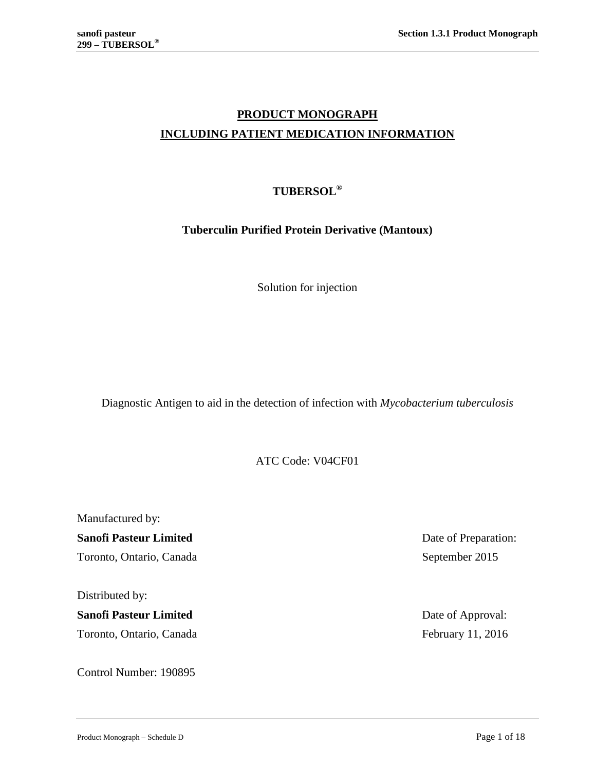# **PRODUCT MONOGRAPH INCLUDING PATIENT MEDICATION INFORMATION**

# **TUBERSOL®**

# **Tuberculin Purified Protein Derivative (Mantoux)**

Solution for injection

Diagnostic Antigen to aid in the detection of infection with *Mycobacterium tuberculosis*

ATC Code: V04CF01

Manufactured by: **Sanofi Pasteur Limited** Date of Preparation: Toronto, Ontario, Canada September 2015

Distributed by:

**Sanofi Pasteur Limited** Date of Approval: Toronto, Ontario, Canada February 11, 2016

Control Number: 190895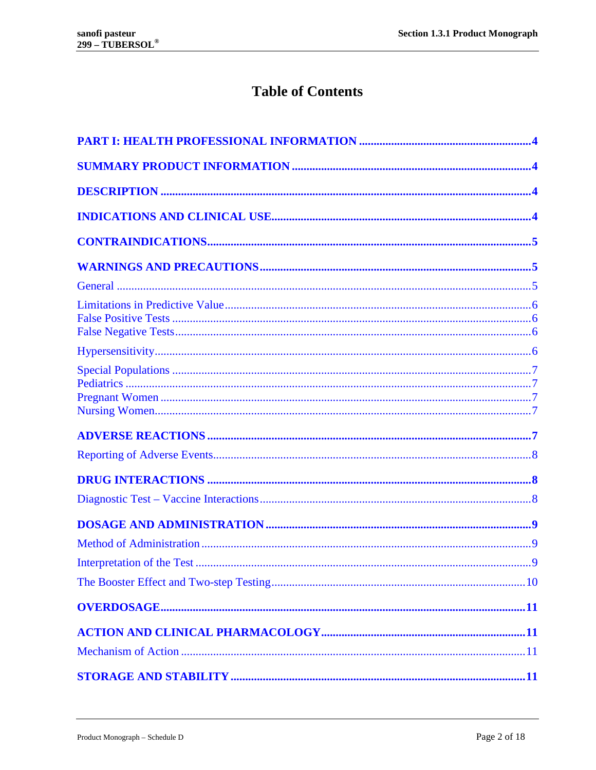# **Table of Contents**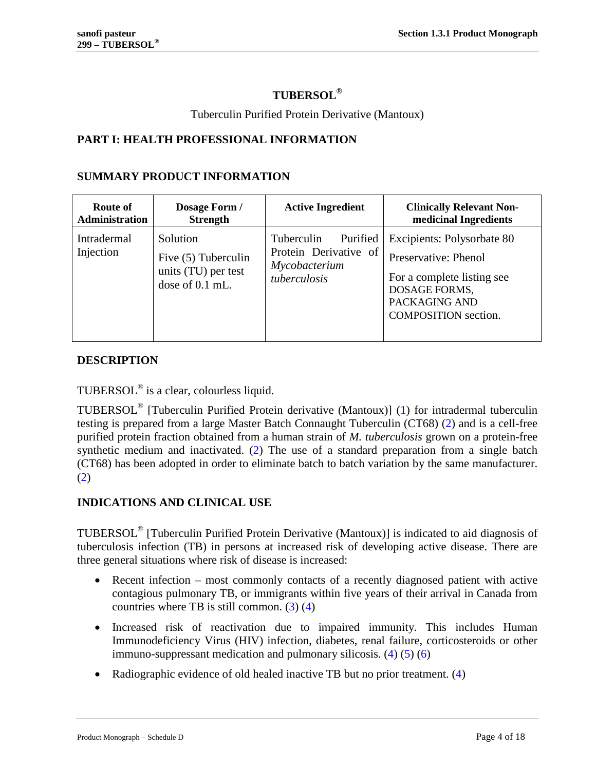# **TUBERSOL®**

## Tuberculin Purified Protein Derivative (Mantoux)

# <span id="page-3-0"></span>**PART I: HEALTH PROFESSIONAL INFORMATION**

## <span id="page-3-1"></span>**SUMMARY PRODUCT INFORMATION**

| Route of                        | Dosage Form /                                                               | <b>Active Ingredient</b>                                                         | <b>Clinically Relevant Non-</b>                                                                                                                   |
|---------------------------------|-----------------------------------------------------------------------------|----------------------------------------------------------------------------------|---------------------------------------------------------------------------------------------------------------------------------------------------|
| <b>Administration</b>           | <b>Strength</b>                                                             |                                                                                  | medicinal Ingredients                                                                                                                             |
| <b>Intradermal</b><br>Injection | Solution<br>Five (5) Tuberculin<br>units (TU) per test<br>dose of $0.1$ mL. | Tuberculin<br>Purified<br>Protein Derivative of<br>Mycobacterium<br>tuberculosis | Excipients: Polysorbate 80<br>Preservative: Phenol<br>For a complete listing see<br>DOSAGE FORMS,<br>PACKAGING AND<br><b>COMPOSITION</b> section. |

# <span id="page-3-2"></span>**DESCRIPTION**

TUBERSOL® is a clear, colourless liquid.

TUBERSOL® [Tuberculin Purified Protein derivative (Mantoux)] [\(1\)](#page-14-0) for intradermal tuberculin testing is prepared from a large Master Batch Connaught Tuberculin (CT68) [\(2\)](#page-14-1) and is a cell-free purified protein fraction obtained from a human strain of *M. tuberculosis* grown on a protein-free synthetic medium and inactivated. [\(2\)](#page-14-1) The use of a standard preparation from a single batch (CT68) has been adopted in order to eliminate batch to batch variation by the same manufacturer. [\(2\)](#page-14-1)

# <span id="page-3-3"></span>**INDICATIONS AND CLINICAL USE**

TUBERSOL® [Tuberculin Purified Protein Derivative (Mantoux)] is indicated to aid diagnosis of tuberculosis infection (TB) in persons at increased risk of developing active disease. There are three general situations where risk of disease is increased:

- Recent infection most commonly contacts of a recently diagnosed patient with active contagious pulmonary TB, or immigrants within five years of their arrival in Canada from countries where TB is still common.  $(3)$   $(4)$
- Increased risk of reactivation due to impaired immunity. This includes Human Immunodeficiency Virus (HIV) infection, diabetes, renal failure, corticosteroids or other immuno-suppressant medication and pulmonary silicosis. [\(4\)](#page-14-3) [\(5\)](#page-14-4) [\(6\)](#page-14-5)
- Radiographic evidence of old healed inactive TB but no prior treatment. [\(4\)](#page-14-3)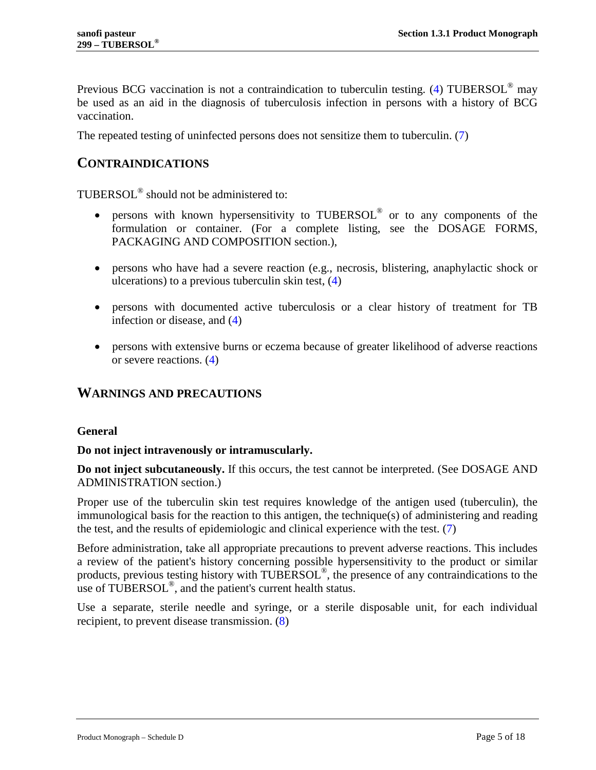Previous BCG vaccination is not a contraindication to tuberculin testing. [\(4\)](#page-14-3) TUBERSOL<sup>®</sup> may be used as an aid in the diagnosis of tuberculosis infection in persons with a history of BCG vaccination.

<span id="page-4-0"></span>The repeated testing of uninfected persons does not sensitize them to tuberculin. [\(7\)](#page-14-6)

# **CONTRAINDICATIONS**

TUBERSOL® should not be administered to:

- persons with known hypersensitivity to TUBERSOL® or to any components of the formulation or container. (For a complete listing, see the [DOSAGE FORMS,](#page-10-4)  [PACKAGING AND COMPOSITION](#page-10-4) section.),
- persons who have had a severe reaction (e.g., necrosis, blistering, anaphylactic shock or ulcerations) to a previous tuberculin skin test, [\(4\)](#page-14-3)
- persons with documented active tuberculosis or a clear history of treatment for TB infection or disease, and [\(4\)](#page-14-3)
- persons with extensive burns or eczema because of greater likelihood of adverse reactions or severe reactions. [\(4\)](#page-14-3)

# <span id="page-4-1"></span>**WARNINGS AND PRECAUTIONS**

### <span id="page-4-2"></span>**General**

### **Do not inject intravenously or intramuscularly.**

**Do not inject subcutaneously.** If this occurs, the test cannot be interpreted. (See [DOSAGE AND](#page-8-0)  [ADMINISTRATION](#page-8-0) section.)

Proper use of the tuberculin skin test requires knowledge of the antigen used (tuberculin), the immunological basis for the reaction to this antigen, the technique(s) of administering and reading the test, and the results of epidemiologic and clinical experience with the test. [\(7\)](#page-14-6)

Before administration, take all appropriate precautions to prevent adverse reactions. This includes a review of the patient's history concerning possible hypersensitivity to the product or similar products, previous testing history with TUBERSOL®, the presence of any contraindications to the use of TUBERSOL<sup>®</sup>, and the patient's current health status.

Use a separate, sterile needle and syringe, or a sterile disposable unit, for each individual recipient, to prevent disease transmission. [\(8\)](#page-14-7)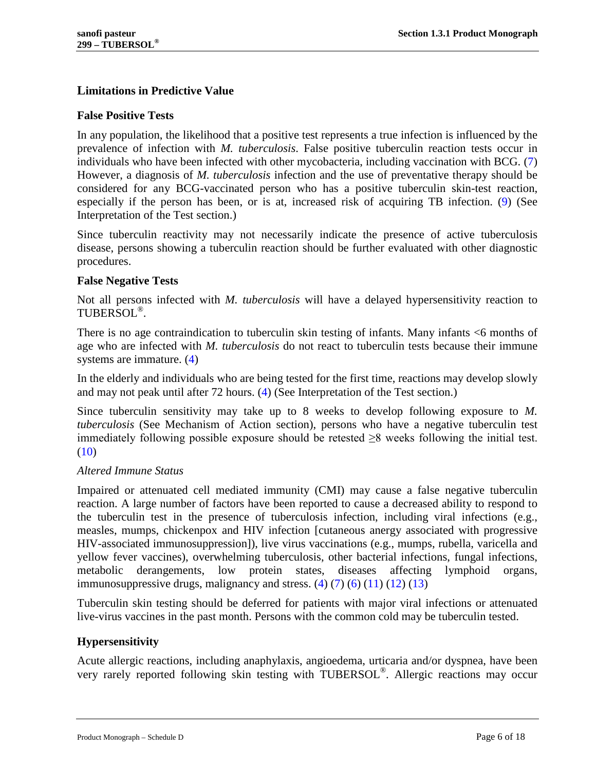# <span id="page-5-0"></span>**Limitations in Predictive Value**

### <span id="page-5-1"></span>**False Positive Tests**

In any population, the likelihood that a positive test represents a true infection is influenced by the prevalence of infection with *M. tuberculosis*. False positive tuberculin reaction tests occur in individuals who have been infected with other mycobacteria, including vaccination with BCG. [\(7\)](#page-14-6) However, a diagnosis of *M. tuberculosis* infection and the use of preventative therapy should be considered for any BCG-vaccinated person who has a positive tuberculin skin-test reaction, especially if the person has been, or is at, increased risk of acquiring TB infection. [\(9\)](#page-14-8) (See [Interpretation of the Test](#page-8-2) section.)

Since tuberculin reactivity may not necessarily indicate the presence of active tuberculosis disease, persons showing a tuberculin reaction should be further evaluated with other diagnostic procedures.

# <span id="page-5-2"></span>**False Negative Tests**

Not all persons infected with *M. tuberculosis* will have a delayed hypersensitivity reaction to TUBERSOL®.

There is no age contraindication to tuberculin skin testing of infants. Many infants <6 months of age who are infected with *M. tuberculosis* do not react to tuberculin tests because their immune systems are immature. [\(4\)](#page-14-3)

In the elderly and individuals who are being tested for the first time, reactions may develop slowly and may not peak until after 72 hours. [\(4\)](#page-14-3) (See [Interpretation of the Test](#page-8-2) section.)

Since tuberculin sensitivity may take up to 8 weeks to develop following exposure to *M. tuberculosis* (See [Mechanism of Action](#page-10-2) section), persons who have a negative tuberculin test immediately following possible exposure should be retested ≥8 weeks following the initial test. [\(10\)](#page-14-9)

### *Altered Immune Status*

Impaired or attenuated cell mediated immunity (CMI) may cause a false negative tuberculin reaction. A large number of factors have been reported to cause a decreased ability to respond to the tuberculin test in the presence of tuberculosis infection, including viral infections (e.g., measles, mumps, chickenpox and HIV infection [cutaneous anergy associated with progressive HIV-associated immunosuppression]), live virus vaccinations (e.g., mumps, rubella, varicella and yellow fever vaccines), overwhelming tuberculosis, other bacterial infections, fungal infections, metabolic derangements, low protein states, diseases affecting lymphoid organs, immunosuppressive drugs, malignancy and stress.  $(4)$   $(7)$   $(6)$   $(11)$   $(12)$   $(13)$ 

Tuberculin skin testing should be deferred for patients with major viral infections or attenuated live-virus vaccines in the past month. Persons with the common cold may be tuberculin tested.

# <span id="page-5-3"></span>**Hypersensitivity**

Acute allergic reactions, including anaphylaxis, angioedema, urticaria and/or dyspnea, have been very rarely reported following skin testing with TUBERSOL®. Allergic reactions may occur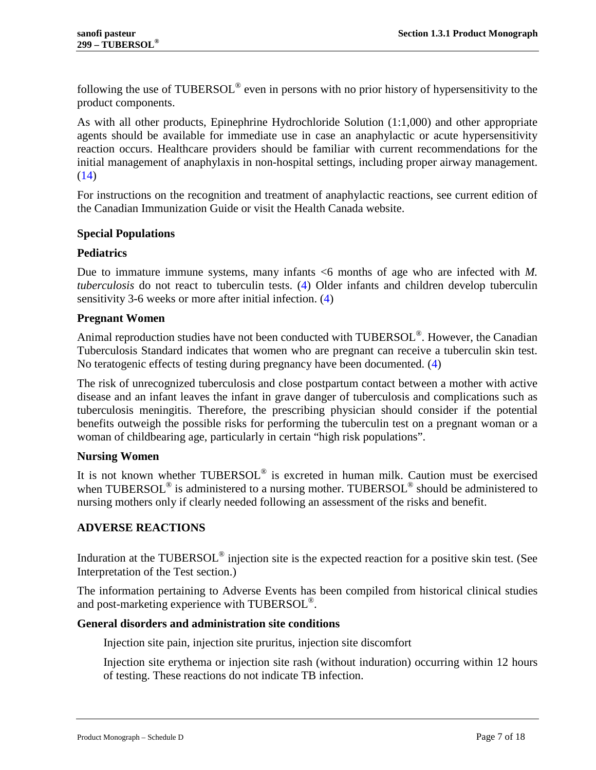following the use of TUBERSOL® even in persons with no prior history of hypersensitivity to the product components.

As with all other products, Epinephrine Hydrochloride Solution (1:1,000) and other appropriate agents should be available for immediate use in case an anaphylactic or acute hypersensitivity reaction occurs. Healthcare providers should be familiar with current recommendations for the initial management of anaphylaxis in non-hospital settings, including proper airway management.  $(14)$ 

For instructions on the recognition and treatment of anaphylactic reactions, see current edition of the Canadian Immunization Guide or visit the Health Canada website.

# <span id="page-6-0"></span>**Special Populations**

### <span id="page-6-1"></span>**Pediatrics**

Due to immature immune systems, many infants <6 months of age who are infected with *M. tuberculosis* do not react to tuberculin tests. [\(4\)](#page-14-3) Older infants and children develop tuberculin sensitivity 3-6 weeks or more after initial infection. [\(4\)](#page-14-3)

### <span id="page-6-2"></span>**Pregnant Women**

Animal reproduction studies have not been conducted with TUBERSOL®. However, the Canadian Tuberculosis Standard indicates that women who are pregnant can receive a tuberculin skin test. No teratogenic effects of testing during pregnancy have been documented. [\(4\)](#page-14-3)

The risk of unrecognized tuberculosis and close postpartum contact between a mother with active disease and an infant leaves the infant in grave danger of tuberculosis and complications such as tuberculosis meningitis. Therefore, the prescribing physician should consider if the potential benefits outweigh the possible risks for performing the tuberculin test on a pregnant woman or a woman of childbearing age, particularly in certain "high risk populations".

### <span id="page-6-3"></span>**Nursing Women**

It is not known whether TUBERSOL® is excreted in human milk. Caution must be exercised when TUBERSOL<sup>®</sup> is administered to a nursing mother. TUBERSOL<sup>®</sup> should be administered to nursing mothers only if clearly needed following an assessment of the risks and benefit.

# <span id="page-6-4"></span>**ADVERSE REACTIONS**

Induration at the TUBERSOL<sup>®</sup> injection site is the expected reaction for a positive skin test. (See [Interpretation of the Test](#page-8-2) section.)

The information pertaining to Adverse Events has been compiled from historical clinical studies and post-marketing experience with TUBERSOL<sup>®</sup>.

### **General disorders and administration site conditions**

Injection site pain, injection site pruritus, injection site discomfort

Injection site erythema or injection site rash (without induration) occurring within 12 hours of testing. These reactions do not indicate TB infection.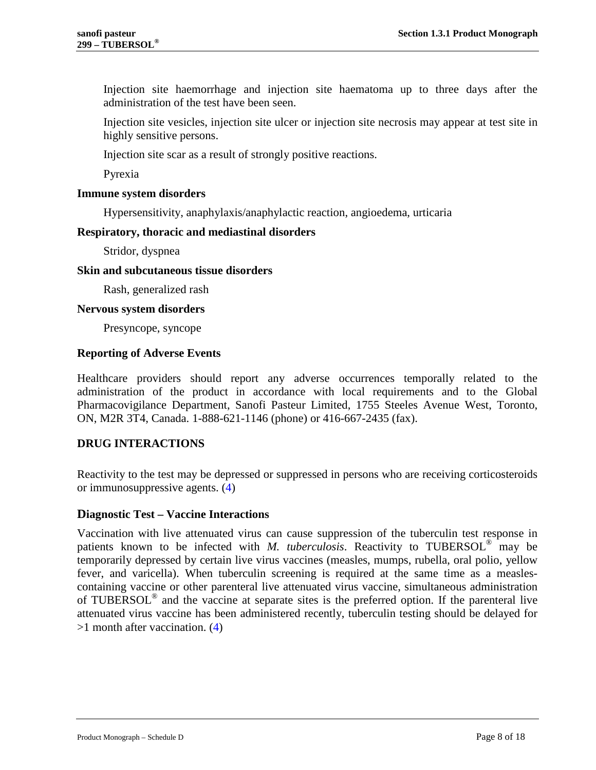Injection site haemorrhage and injection site haematoma up to three days after the administration of the test have been seen.

Injection site vesicles, injection site ulcer or injection site necrosis may appear at test site in highly sensitive persons.

Injection site scar as a result of strongly positive reactions.

Pyrexia

### **Immune system disorders**

Hypersensitivity, anaphylaxis/anaphylactic reaction, angioedema, urticaria

### **Respiratory, thoracic and mediastinal disorders**

Stridor, dyspnea

#### **Skin and subcutaneous tissue disorders**

Rash, generalized rash

#### **Nervous system disorders**

Presyncope, syncope

### <span id="page-7-0"></span>**Reporting of Adverse Events**

Healthcare providers should report any adverse occurrences temporally related to the administration of the product in accordance with local requirements and to the Global Pharmacovigilance Department, Sanofi Pasteur Limited, 1755 Steeles Avenue West, Toronto, ON, M2R 3T4, Canada. 1-888-621-1146 (phone) or 416-667-2435 (fax).

### <span id="page-7-1"></span>**DRUG INTERACTIONS**

Reactivity to the test may be depressed or suppressed in persons who are receiving corticosteroids or immunosuppressive agents. [\(4\)](#page-14-3)

### <span id="page-7-2"></span>**Diagnostic Test – Vaccine Interactions**

Vaccination with live attenuated virus can cause suppression of the tuberculin test response in patients known to be infected with *M. tuberculosis*. Reactivity to TUBERSOL® may be temporarily depressed by certain live virus vaccines (measles, mumps, rubella, oral polio, yellow fever, and varicella). When tuberculin screening is required at the same time as a measlescontaining vaccine or other parenteral live attenuated virus vaccine, simultaneous administration of TUBERSOL® and the vaccine at separate sites is the preferred option. If the parenteral live attenuated virus vaccine has been administered recently, tuberculin testing should be delayed for >1 month after vaccination. [\(4\)](#page-14-3)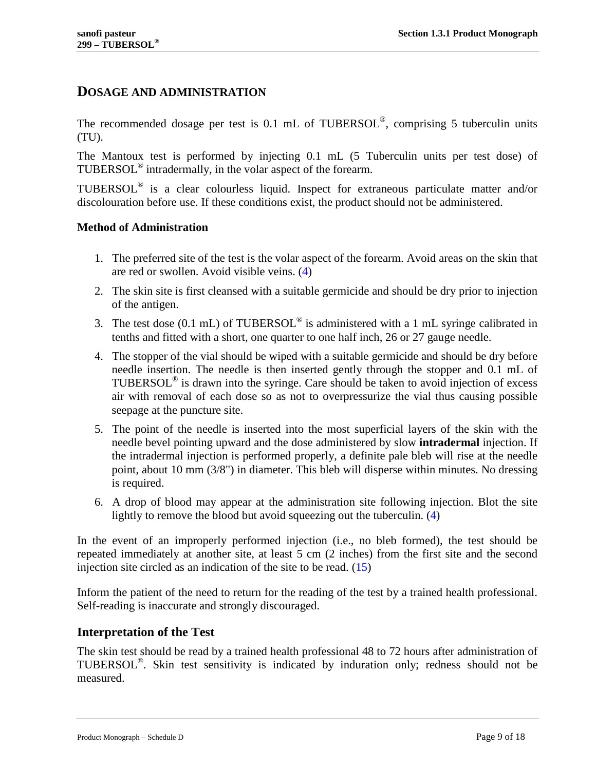# <span id="page-8-0"></span>**DOSAGE AND ADMINISTRATION**

The recommended dosage per test is 0.1 mL of TUBERSOL®, comprising 5 tuberculin units (TU).

The Mantoux test is performed by injecting 0.1 mL (5 Tuberculin units per test dose) of TUBERSOL® intradermally, in the volar aspect of the forearm.

TUBERSOL® is a clear colourless liquid. Inspect for extraneous particulate matter and/or discolouration before use. If these conditions exist, the product should not be administered.

### <span id="page-8-1"></span>**Method of Administration**

- 1. The preferred site of the test is the volar aspect of the forearm. Avoid areas on the skin that are red or swollen. Avoid visible veins. [\(4\)](#page-14-3)
- 2. The skin site is first cleansed with a suitable germicide and should be dry prior to injection of the antigen.
- 3. The test dose  $(0.1 \text{ mL})$  of TUBERSOL<sup>®</sup> is administered with a 1 mL syringe calibrated in tenths and fitted with a short, one quarter to one half inch, 26 or 27 gauge needle.
- 4. The stopper of the vial should be wiped with a suitable germicide and should be dry before needle insertion. The needle is then inserted gently through the stopper and 0.1 mL of TUBERSOL® is drawn into the syringe. Care should be taken to avoid injection of excess air with removal of each dose so as not to overpressurize the vial thus causing possible seepage at the puncture site.
- 5. The point of the needle is inserted into the most superficial layers of the skin with the needle bevel pointing upward and the dose administered by slow **intradermal** injection. If the intradermal injection is performed properly, a definite pale bleb will rise at the needle point, about 10 mm (3/8") in diameter. This bleb will disperse within minutes. No dressing is required.
- 6. A drop of blood may appear at the administration site following injection. Blot the site lightly to remove the blood but avoid squeezing out the tuberculin. [\(4\)](#page-14-3)

In the event of an improperly performed injection (i.e., no bleb formed), the test should be repeated immediately at another site, at least 5 cm (2 inches) from the first site and the second injection site circled as an indication of the site to be read. [\(15\)](#page-14-14)

Inform the patient of the need to return for the reading of the test by a trained health professional. Self-reading is inaccurate and strongly discouraged.

### <span id="page-8-2"></span>**Interpretation of the Test**

The skin test should be read by a trained health professional 48 to 72 hours after administration of TUBERSOL®. Skin test sensitivity is indicated by induration only; redness should not be measured.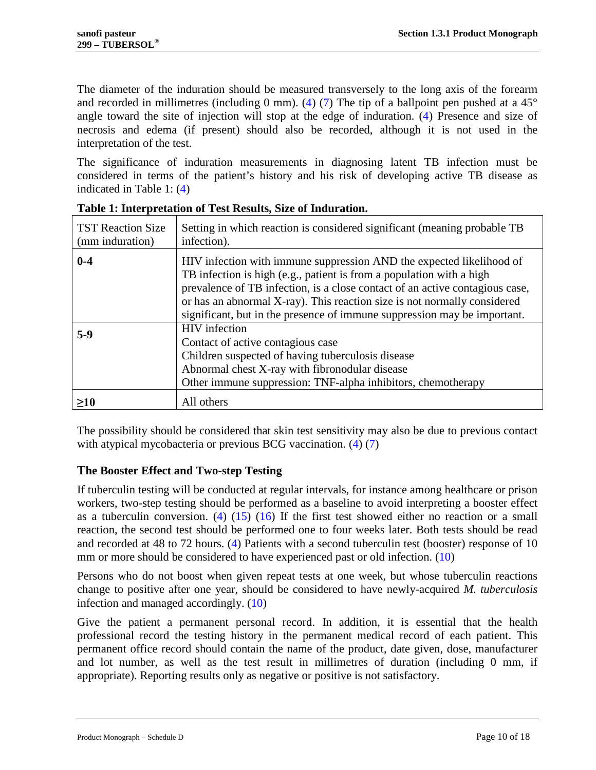The diameter of the induration should be measured transversely to the long axis of the forearm and recorded in millimetres (including 0 mm). [\(4\)](#page-14-3) [\(7\)](#page-14-6) The tip of a ballpoint pen pushed at a  $45^{\circ}$ angle toward the site of injection will stop at the edge of induration. [\(4\)](#page-14-3) Presence and size of necrosis and edema (if present) should also be recorded, although it is not used in the interpretation of the test.

The significance of induration measurements in diagnosing latent TB infection must be considered in terms of the patient's history and his risk of developing active TB disease as indicated in [Table 1:](#page-9-1) [\(4\)](#page-14-3)

| <b>TST Reaction Size</b><br>(mm induration) | Setting in which reaction is considered significant (meaning probable TB<br>infection).                                                                                                                                                                                                                                                                                              |
|---------------------------------------------|--------------------------------------------------------------------------------------------------------------------------------------------------------------------------------------------------------------------------------------------------------------------------------------------------------------------------------------------------------------------------------------|
| $0-4$                                       | HIV infection with immune suppression AND the expected likelihood of<br>TB infection is high (e.g., patient is from a population with a high<br>prevalence of TB infection, is a close contact of an active contagious case,<br>or has an abnormal X-ray). This reaction size is not normally considered<br>significant, but in the presence of immune suppression may be important. |
| $5-9$                                       | <b>HIV</b> infection<br>Contact of active contagious case<br>Children suspected of having tuberculosis disease<br>Abnormal chest X-ray with fibronodular disease<br>Other immune suppression: TNF-alpha inhibitors, chemotherapy                                                                                                                                                     |
| $\geq10$                                    | All others                                                                                                                                                                                                                                                                                                                                                                           |

<span id="page-9-1"></span>**Table 1: Interpretation of Test Results, Size of Induration.**

The possibility should be considered that skin test sensitivity may also be due to previous contact with atypical mycobacteria or previous BCG vaccination. [\(4\)](#page-14-3) [\(7\)](#page-14-6)

# <span id="page-9-0"></span>**The Booster Effect and Two-step Testing**

If tuberculin testing will be conducted at regular intervals, for instance among healthcare or prison workers, two-step testing should be performed as a baseline to avoid interpreting a booster effect as a tuberculin conversion. [\(4\)](#page-14-3)  $(15)$   $(16)$  If the first test showed either no reaction or a small reaction, the second test should be performed one to four weeks later. Both tests should be read and recorded at 48 to 72 hours. [\(4\)](#page-14-3) Patients with a second tuberculin test (booster) response of 10 mm or more should be considered to have experienced past or old infection. [\(10\)](#page-14-9)

Persons who do not boost when given repeat tests at one week, but whose tuberculin reactions change to positive after one year, should be considered to have newly-acquired *M. tuberculosis* infection and managed accordingly. [\(10\)](#page-14-9)

Give the patient a permanent personal record. In addition, it is essential that the health professional record the testing history in the permanent medical record of each patient. This permanent office record should contain the name of the product, date given, dose, manufacturer and lot number, as well as the test result in millimetres of duration (including 0 mm, if appropriate). Reporting results only as negative or positive is not satisfactory.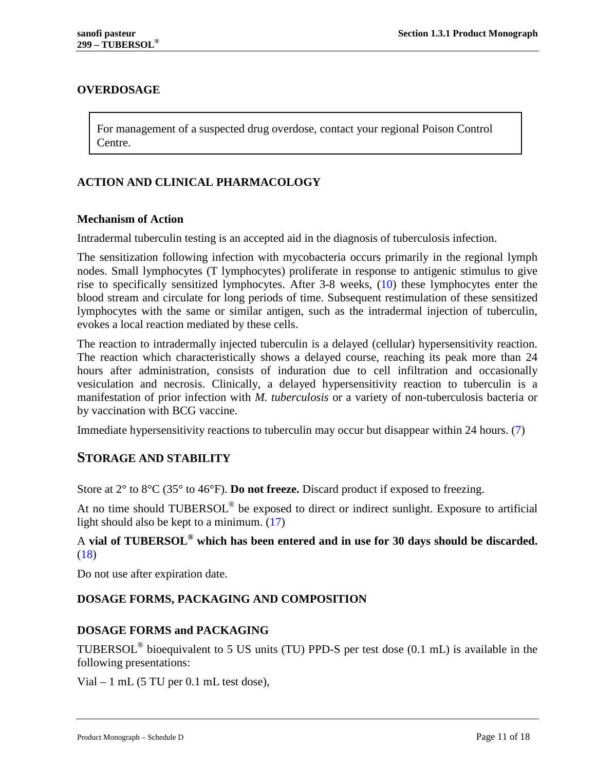# <span id="page-10-0"></span>**OVERDOSAGE**

For management of a suspected drug overdose, contact your regional Poison Control Centre.

# <span id="page-10-1"></span>**ACTION AND CLINICAL PHARMACOLOGY**

### <span id="page-10-2"></span>**Mechanism of Action**

Intradermal tuberculin testing is an accepted aid in the diagnosis of tuberculosis infection.

The sensitization following infection with mycobacteria occurs primarily in the regional lymph nodes. Small lymphocytes (T lymphocytes) proliferate in response to antigenic stimulus to give rise to specifically sensitized lymphocytes. After 3-8 weeks, [\(10\)](#page-14-9) these lymphocytes enter the blood stream and circulate for long periods of time. Subsequent restimulation of these sensitized lymphocytes with the same or similar antigen, such as the intradermal injection of tuberculin, evokes a local reaction mediated by these cells.

The reaction to intradermally injected tuberculin is a delayed (cellular) hypersensitivity reaction. The reaction which characteristically shows a delayed course, reaching its peak more than 24 hours after administration, consists of induration due to cell infiltration and occasionally vesiculation and necrosis. Clinically, a delayed hypersensitivity reaction to tuberculin is a manifestation of prior infection with *M. tuberculosis* or a variety of non-tuberculosis bacteria or by vaccination with BCG vaccine.

<span id="page-10-3"></span>Immediate hypersensitivity reactions to tuberculin may occur but disappear within 24 hours. [\(7\)](#page-14-6)

# **STORAGE AND STABILITY**

Store at 2° to 8°C (35° to 46°F). **Do not freeze.** Discard product if exposed to freezing.

At no time should TUBERSOL<sup>®</sup> be exposed to direct or indirect sunlight. Exposure to artificial light should also be kept to a minimum. [\(17\)](#page-15-1)

# A **vial of TUBERSOL® which has been entered and in use for 30 days should be discarded.** [\(18\)](#page-15-2)

<span id="page-10-4"></span>Do not use after expiration date.

# **DOSAGE FORMS, PACKAGING AND COMPOSITION**

### **DOSAGE FORMS and PACKAGING**

TUBERSOL® bioequivalent to 5 US units (TU) PPD-S per test dose (0.1 mL) is available in the following presentations:

Vial  $-1$  mL (5 TU per 0.1 mL test dose),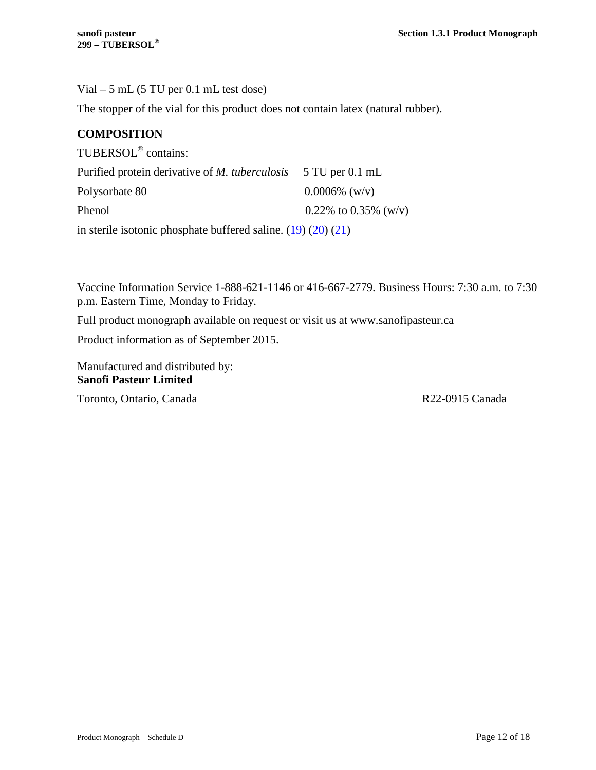Vial – 5 mL (5 TU per 0.1 mL test dose)

The stopper of the vial for this product does not contain latex (natural rubber).

## **COMPOSITION**

| TUBERSOL <sup>®</sup> contains:                                       |                      |  |
|-----------------------------------------------------------------------|----------------------|--|
| Purified protein derivative of <i>M. tuberculosis</i> 5 TU per 0.1 mL |                      |  |
| Polysorbate 80                                                        | $0.0006\%$ (w/v)     |  |
| Phenol                                                                | 0.22% to 0.35% (w/v) |  |
| in sterile isotonic phosphate buffered saline. $(19)$ $(20)$ $(21)$   |                      |  |

Vaccine Information Service 1-888-621-1146 or 416-667-2779. Business Hours: 7:30 a.m. to 7:30 p.m. Eastern Time, Monday to Friday.

Full product monograph available on request or visit us at [www.sanofipasteur.ca](http://www.sanofipasteur.ca/)

Product information as of September 2015.

Manufactured and distributed by: **Sanofi Pasteur Limited**

Toronto, Ontario, Canada R22-0915 Canada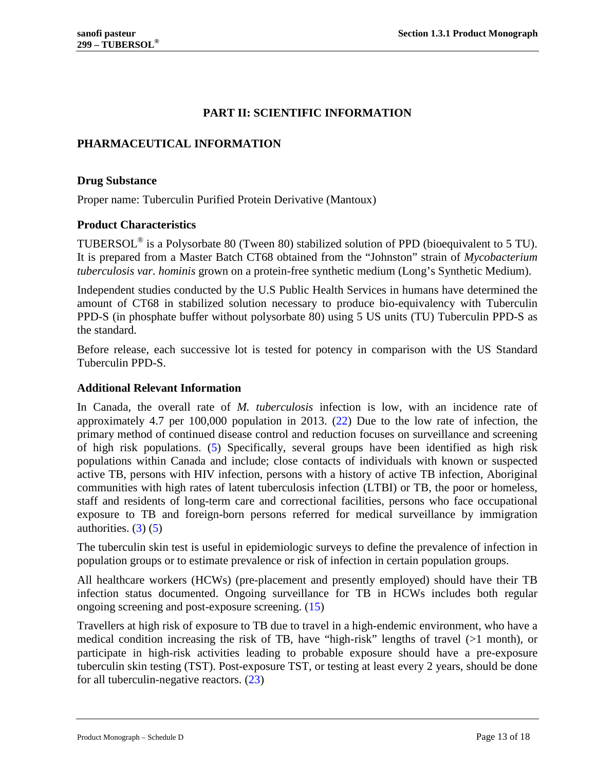# **PART II: SCIENTIFIC INFORMATION**

# <span id="page-12-1"></span><span id="page-12-0"></span>**PHARMACEUTICAL INFORMATION**

### <span id="page-12-2"></span>**Drug Substance**

<span id="page-12-3"></span>Proper name: Tuberculin Purified Protein Derivative (Mantoux)

### **Product Characteristics**

TUBERSOL® is a Polysorbate 80 (Tween 80) stabilized solution of PPD (bioequivalent to 5 TU). It is prepared from a Master Batch CT68 obtained from the "Johnston" strain of *Mycobacterium tuberculosis var. hominis* grown on a protein-free synthetic medium (Long's Synthetic Medium).

Independent studies conducted by the U.S Public Health Services in humans have determined the amount of CT68 in stabilized solution necessary to produce bio-equivalency with Tuberculin PPD-S (in phosphate buffer without polysorbate 80) using 5 US units (TU) Tuberculin PPD-S as the standard.

Before release, each successive lot is tested for potency in comparison with the US Standard Tuberculin PPD-S.

### <span id="page-12-4"></span>**Additional Relevant Information**

In Canada, the overall rate of *M. tuberculosis* infection is low, with an incidence rate of approximately 4.7 per 100,000 population in 2013. [\(22\)](#page-15-6) Due to the low rate of infection, the primary method of continued disease control and reduction focuses on surveillance and screening of high risk populations. [\(5\)](#page-14-4) Specifically, several groups have been identified as high risk populations within Canada and include; close contacts of individuals with known or suspected active TB, persons with HIV infection, persons with a history of active TB infection, Aboriginal communities with high rates of latent tuberculosis infection (LTBI) or TB, the poor or homeless, staff and residents of long-term care and correctional facilities, persons who face occupational exposure to TB and foreign-born persons referred for medical surveillance by immigration authorities.  $(3)$   $(5)$ 

The tuberculin skin test is useful in epidemiologic surveys to define the prevalence of infection in population groups or to estimate prevalence or risk of infection in certain population groups.

All healthcare workers (HCWs) (pre-placement and presently employed) should have their TB infection status documented. Ongoing surveillance for TB in HCWs includes both regular ongoing screening and post-exposure screening. [\(15\)](#page-14-14)

Travellers at high risk of exposure to TB due to travel in a high-endemic environment, who have a medical condition increasing the risk of TB, have "high-risk" lengths of travel (>1 month), or participate in high-risk activities leading to probable exposure should have a pre-exposure tuberculin skin testing (TST). Post-exposure TST, or testing at least every 2 years, should be done for all tuberculin-negative reactors.  $(23)$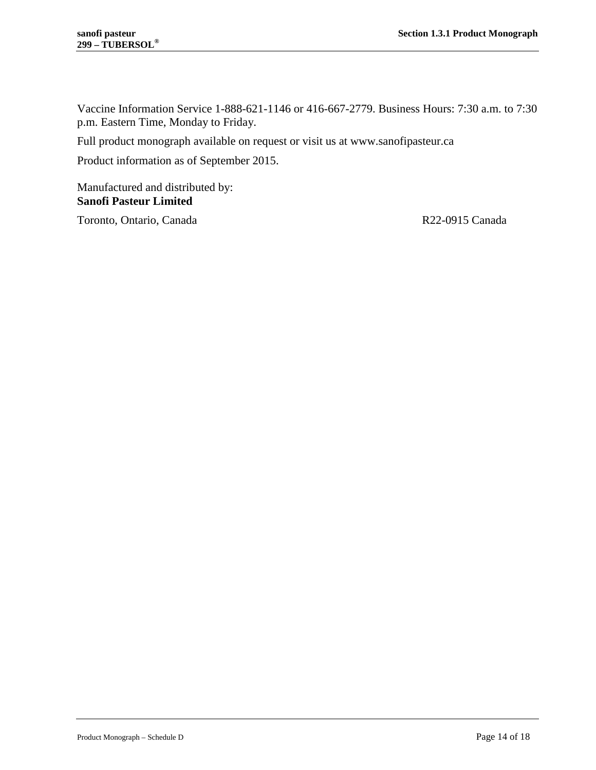Vaccine Information Service 1-888-621-1146 or 416-667-2779. Business Hours: 7:30 a.m. to 7:30 p.m. Eastern Time, Monday to Friday.

Full product monograph available on request or visit us at [www.sanofipasteur.ca](http://www.sanofipasteur.ca/)

Product information as of September 2015.

Manufactured and distributed by: **Sanofi Pasteur Limited**

Toronto, Ontario, Canada R22-0915 Canada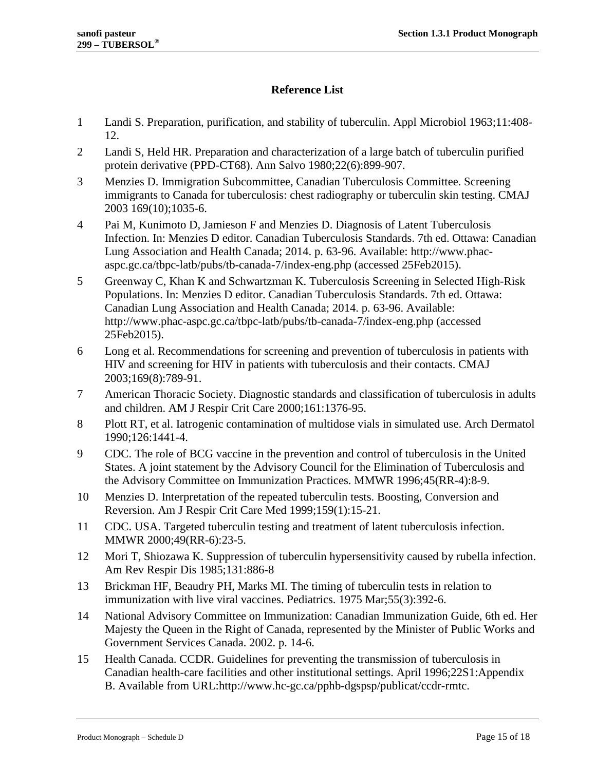# **Reference List**

- <span id="page-14-0"></span>1 Landi S. Preparation, purification, and stability of tuberculin. Appl Microbiol 1963;11:408- 12.
- <span id="page-14-1"></span>2 Landi S, Held HR. Preparation and characterization of a large batch of tuberculin purified protein derivative (PPD-CT68). Ann Salvo 1980;22(6):899-907.
- <span id="page-14-2"></span>3 Menzies D. Immigration Subcommittee, Canadian Tuberculosis Committee. Screening immigrants to Canada for tuberculosis: chest radiography or tuberculin skin testing. CMAJ 2003 169(10);1035-6.
- <span id="page-14-3"></span>4 Pai M, Kunimoto D, Jamieson F and Menzies D. Diagnosis of Latent Tuberculosis Infection. In: Menzies D editor. Canadian Tuberculosis Standards. 7th ed. Ottawa: Canadian Lung Association and Health Canada; 2014. p. 63-96. Available: http://www.phacaspc.gc.ca/tbpc-latb/pubs/tb-canada-7/index-eng.php (accessed 25Feb2015).
- <span id="page-14-4"></span>5 Greenway C, Khan K and Schwartzman K. Tuberculosis Screening in Selected High-Risk Populations. In: Menzies D editor. Canadian Tuberculosis Standards. 7th ed. Ottawa: Canadian Lung Association and Health Canada; 2014. p. 63-96. Available: http://www.phac-aspc.gc.ca/tbpc-latb/pubs/tb-canada-7/index-eng.php (accessed 25Feb2015).
- <span id="page-14-5"></span>6 Long et al. Recommendations for screening and prevention of tuberculosis in patients with HIV and screening for HIV in patients with tuberculosis and their contacts. CMAJ 2003;169(8):789-91.
- <span id="page-14-6"></span>7 American Thoracic Society. Diagnostic standards and classification of tuberculosis in adults and children. AM J Respir Crit Care 2000;161:1376-95.
- <span id="page-14-7"></span>8 Plott RT, et al. Iatrogenic contamination of multidose vials in simulated use. Arch Dermatol 1990;126:1441-4.
- <span id="page-14-8"></span>9 CDC. The role of BCG vaccine in the prevention and control of tuberculosis in the United States. A joint statement by the Advisory Council for the Elimination of Tuberculosis and the Advisory Committee on Immunization Practices. MMWR 1996;45(RR-4):8-9.
- <span id="page-14-9"></span>10 Menzies D. Interpretation of the repeated tuberculin tests. Boosting, Conversion and Reversion. Am J Respir Crit Care Med 1999;159(1):15-21.
- <span id="page-14-10"></span>11 CDC. USA. Targeted tuberculin testing and treatment of latent tuberculosis infection. MMWR 2000;49(RR-6):23-5.
- <span id="page-14-11"></span>12 Mori T, Shiozawa K. Suppression of tuberculin hypersensitivity caused by rubella infection. Am Rev Respir Dis 1985;131:886-8
- <span id="page-14-12"></span>13 Brickman HF, Beaudry PH, Marks MI. The timing of tuberculin tests in relation to immunization with live viral vaccines. Pediatrics. 1975 Mar;55(3):392-6.
- <span id="page-14-13"></span>14 National Advisory Committee on Immunization: Canadian Immunization Guide, 6th ed. Her Majesty the Queen in the Right of Canada, represented by the Minister of Public Works and Government Services Canada. 2002. p. 14-6.
- <span id="page-14-14"></span>15 Health Canada. CCDR. Guidelines for preventing the transmission of tuberculosis in Canadian health-care facilities and other institutional settings. April 1996;22S1:Appendix B. Available from URL:http://www.hc-gc.ca/pphb-dgspsp/publicat/ccdr-rmtc.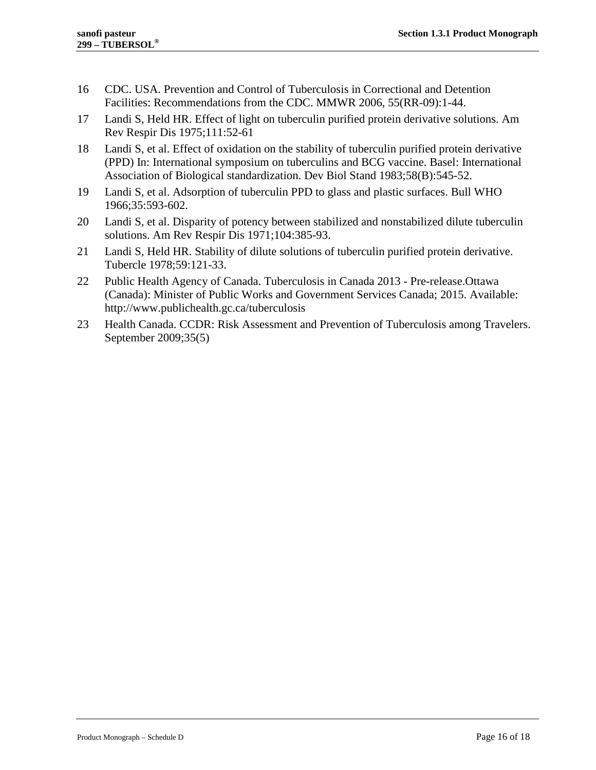- <span id="page-15-0"></span>16 CDC. USA. Prevention and Control of Tuberculosis in Correctional and Detention Facilities: Recommendations from the CDC. MMWR 2006, 55(RR-09):1-44.
- <span id="page-15-1"></span>17 Landi S, Held HR. Effect of light on tuberculin purified protein derivative solutions. Am Rev Respir Dis 1975;111:52-61
- <span id="page-15-2"></span>18 Landi S, et al. Effect of oxidation on the stability of tuberculin purified protein derivative (PPD) In: International symposium on tuberculins and BCG vaccine. Basel: International Association of Biological standardization. Dev Biol Stand 1983;58(B):545-52.
- <span id="page-15-3"></span>19 Landi S, et al. Adsorption of tuberculin PPD to glass and plastic surfaces. Bull WHO 1966;35:593-602.
- <span id="page-15-4"></span>20 Landi S, et al. Disparity of potency between stabilized and nonstabilized dilute tuberculin solutions. Am Rev Respir Dis 1971;104:385-93.
- <span id="page-15-5"></span>21 Landi S, Held HR. Stability of dilute solutions of tuberculin purified protein derivative. Tubercle 1978;59:121-33.
- <span id="page-15-6"></span>22 Public Health Agency of Canada. Tuberculosis in Canada 2013 - Pre-release.Ottawa (Canada): Minister of Public Works and Government Services Canada; 2015. Available: http://www.publichealth.gc.ca/tuberculosis
- <span id="page-15-7"></span>23 Health Canada. CCDR: Risk Assessment and Prevention of Tuberculosis among Travelers. September 2009;35(5)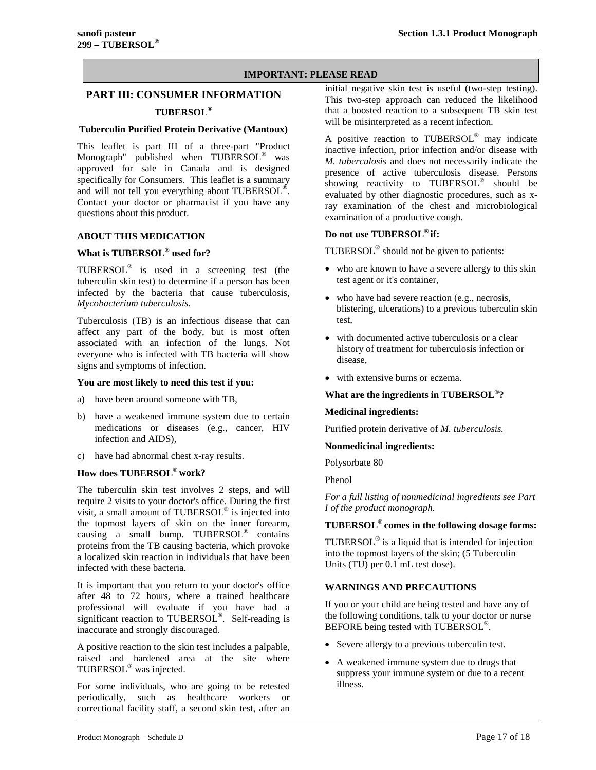#### **IMPORTANT: PLEASE READ**

# <span id="page-16-0"></span>**PART III: CONSUMER INFORMATION TUBERSOL®**

#### **Tuberculin Purified Protein Derivative (Mantoux)**

This leaflet is part III of a three-part "Product Monograph" published when TUBERSOL® was approved for sale in Canada and is designed specifically for Consumers. This leaflet is a summary and will not tell you everything about TUBERSOL®. Contact your doctor or pharmacist if you have any questions about this product.

#### <span id="page-16-1"></span>**ABOUT THIS MEDICATION**

### **What is TUBERSOL® used for?**

TUBERSOL® is used in a screening test (the tuberculin skin test) to determine if a person has been infected by the bacteria that cause tuberculosis, *Mycobacterium tuberculosis*.

Tuberculosis (TB) is an infectious disease that can affect any part of the body, but is most often associated with an infection of the lungs. Not everyone who is infected with TB bacteria will show signs and symptoms of infection.

#### **You are most likely to need this test if you:**

- a) have been around someone with TB,
- b) have a weakened immune system due to certain medications or diseases (e.g., cancer, HIV infection and AIDS),
- c) have had abnormal chest x-ray results.

#### **How does TUBERSOL® work?**

The tuberculin skin test involves 2 steps, and will require 2 visits to your doctor's office. During the first visit, a small amount of TUBERSOL® is injected into the topmost layers of skin on the inner forearm, causing a small bump. TUBERSOL® contains proteins from the TB causing bacteria, which provoke a localized skin reaction in individuals that have been infected with these bacteria.

It is important that you return to your doctor's office after 48 to 72 hours, where a trained healthcare professional will evaluate if you have had a significant reaction to TUBERSOL®. Self-reading is inaccurate and strongly discouraged.

A positive reaction to the skin test includes a palpable, raised and hardened area at the site where TUBERSOL® was injected.

For some individuals, who are going to be retested periodically, such as healthcare workers or correctional facility staff, a second skin test, after an

initial negative skin test is useful (two-step testing). This two-step approach can reduced the likelihood that a boosted reaction to a subsequent TB skin test will be misinterpreted as a recent infection.

A positive reaction to TUBERSOL® may indicate inactive infection, prior infection and/or disease with *M. tuberculosis* and does not necessarily indicate the presence of active tuberculosis disease. Persons showing reactivity to TUBERSOL<sup>®</sup> should be evaluated by other diagnostic procedures, such as xray examination of the chest and microbiological examination of a productive cough.

#### **Do not use TUBERSOL® if:**

TUBERSOL® should not be given to patients:

- who are known to have a severe allergy to this skin test agent or it's container,
- who have had severe reaction (e.g., necrosis, blistering, ulcerations) to a previous tuberculin skin test,
- with documented active tuberculosis or a clear history of treatment for tuberculosis infection or disease,
- with extensive burns or eczema.

#### **What are the ingredients in TUBERSOL®?**

#### **Medicinal ingredients:**

Purified protein derivative of *M. tuberculosis.*

#### **Nonmedicinal ingredients:**

Polysorbate 80

Phenol

*For a full listing of nonmedicinal ingredients see Part I of the product monograph.*

#### **TUBERSOL® comes in the following dosage forms:**

TUBERSOL® is a liquid that is intended for injection into the topmost layers of the skin; (5 Tuberculin Units (TU) per 0.1 mL test dose).

#### <span id="page-16-2"></span>**WARNINGS AND PRECAUTIONS**

If you or your child are being tested and have any of the following conditions, talk to your doctor or nurse BEFORE being tested with TUBERSOL<sup>®</sup>.

- Severe allergy to a previous tuberculin test.
- A weakened immune system due to drugs that suppress your immune system or due to a recent illness.